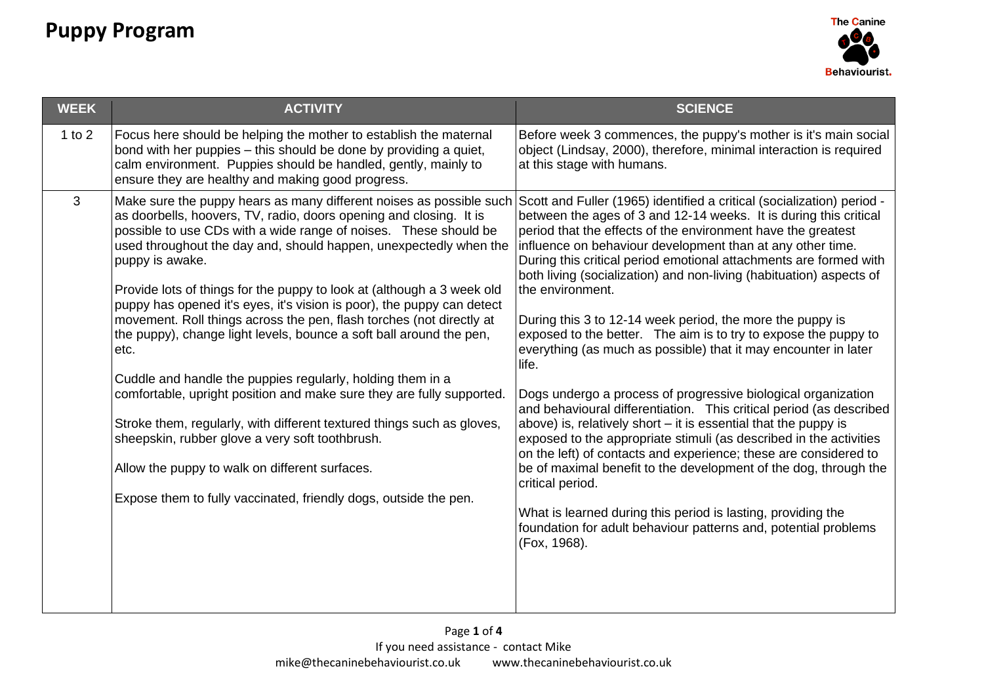

| <b>WEEK</b> | <b>ACTIVITY</b>                                                                                                                                                                                                                                                                                                                                                                                                                                                                                                                                                                                                                                                                                                                                                                                                                                                                      | <b>SCIENCE</b>                                                                                                                                                                                                                                                                                                                                                                                                                                                                                                                                                                                                                                                                                                                                                                                                                                                     |
|-------------|--------------------------------------------------------------------------------------------------------------------------------------------------------------------------------------------------------------------------------------------------------------------------------------------------------------------------------------------------------------------------------------------------------------------------------------------------------------------------------------------------------------------------------------------------------------------------------------------------------------------------------------------------------------------------------------------------------------------------------------------------------------------------------------------------------------------------------------------------------------------------------------|--------------------------------------------------------------------------------------------------------------------------------------------------------------------------------------------------------------------------------------------------------------------------------------------------------------------------------------------------------------------------------------------------------------------------------------------------------------------------------------------------------------------------------------------------------------------------------------------------------------------------------------------------------------------------------------------------------------------------------------------------------------------------------------------------------------------------------------------------------------------|
| 1 to $2$    | Focus here should be helping the mother to establish the maternal<br>bond with her puppies – this should be done by providing a quiet,<br>calm environment. Puppies should be handled, gently, mainly to<br>ensure they are healthy and making good progress.                                                                                                                                                                                                                                                                                                                                                                                                                                                                                                                                                                                                                        | Before week 3 commences, the puppy's mother is it's main social<br>object (Lindsay, 2000), therefore, minimal interaction is required<br>at this stage with humans.                                                                                                                                                                                                                                                                                                                                                                                                                                                                                                                                                                                                                                                                                                |
| 3           | Make sure the puppy hears as many different noises as possible such<br>as doorbells, hoovers, TV, radio, doors opening and closing. It is<br>possible to use CDs with a wide range of noises. These should be<br>used throughout the day and, should happen, unexpectedly when the<br>puppy is awake.<br>Provide lots of things for the puppy to look at (although a 3 week old<br>puppy has opened it's eyes, it's vision is poor), the puppy can detect<br>movement. Roll things across the pen, flash torches (not directly at<br>the puppy), change light levels, bounce a soft ball around the pen,<br>etc.<br>Cuddle and handle the puppies regularly, holding them in a<br>comfortable, upright position and make sure they are fully supported.<br>Stroke them, regularly, with different textured things such as gloves,<br>sheepskin, rubber glove a very soft toothbrush. | Scott and Fuller (1965) identified a critical (socialization) period -<br>between the ages of 3 and 12-14 weeks. It is during this critical<br>period that the effects of the environment have the greatest<br>influence on behaviour development than at any other time.<br>During this critical period emotional attachments are formed with<br>both living (socialization) and non-living (habituation) aspects of<br>the environment.<br>During this 3 to 12-14 week period, the more the puppy is<br>exposed to the better. The aim is to try to expose the puppy to<br>everything (as much as possible) that it may encounter in later<br>life.<br>Dogs undergo a process of progressive biological organization<br>and behavioural differentiation. This critical period (as described<br>above) is, relatively short $-$ it is essential that the puppy is |
|             | Allow the puppy to walk on different surfaces.                                                                                                                                                                                                                                                                                                                                                                                                                                                                                                                                                                                                                                                                                                                                                                                                                                       | exposed to the appropriate stimuli (as described in the activities<br>on the left) of contacts and experience; these are considered to<br>be of maximal benefit to the development of the dog, through the<br>critical period.                                                                                                                                                                                                                                                                                                                                                                                                                                                                                                                                                                                                                                     |
|             | Expose them to fully vaccinated, friendly dogs, outside the pen.                                                                                                                                                                                                                                                                                                                                                                                                                                                                                                                                                                                                                                                                                                                                                                                                                     | What is learned during this period is lasting, providing the<br>foundation for adult behaviour patterns and, potential problems<br>(Fox, 1968).                                                                                                                                                                                                                                                                                                                                                                                                                                                                                                                                                                                                                                                                                                                    |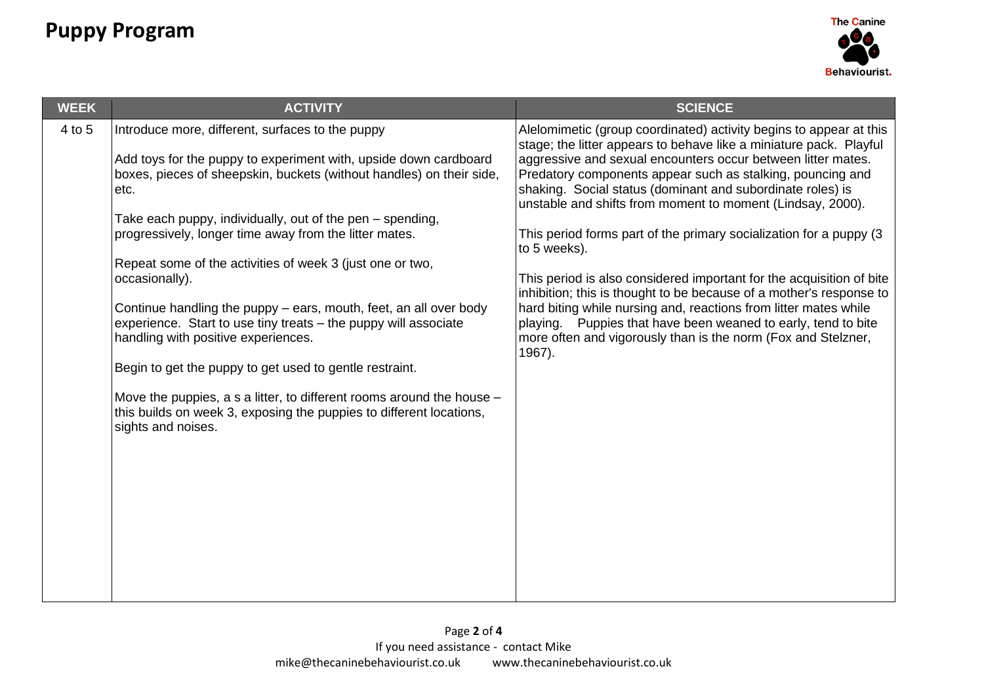

| <b>WEEK</b> | <b>ACTIVITY</b>                                                                                                                                                      | <b>SCIENCE</b>                                                                                                                                                                                           |
|-------------|----------------------------------------------------------------------------------------------------------------------------------------------------------------------|----------------------------------------------------------------------------------------------------------------------------------------------------------------------------------------------------------|
| 4 to 5      | Introduce more, different, surfaces to the puppy<br>Add toys for the puppy to experiment with, upside down cardboard                                                 | Alelomimetic (group coordinated) activity begins to appear at this<br>stage; the litter appears to behave like a miniature pack. Playful<br>aggressive and sexual encounters occur between litter mates. |
|             | boxes, pieces of sheepskin, buckets (without handles) on their side,<br>etc.                                                                                         | Predatory components appear such as stalking, pouncing and<br>shaking. Social status (dominant and subordinate roles) is<br>unstable and shifts from moment to moment (Lindsay, 2000).                   |
|             | Take each puppy, individually, out of the pen – spending,                                                                                                            |                                                                                                                                                                                                          |
|             | progressively, longer time away from the litter mates.                                                                                                               | This period forms part of the primary socialization for a puppy (3<br>to 5 weeks).                                                                                                                       |
|             | Repeat some of the activities of week 3 (just one or two,<br>occasionally).                                                                                          | This period is also considered important for the acquisition of bite                                                                                                                                     |
|             | Continue handling the puppy $-$ ears, mouth, feet, an all over body                                                                                                  | inhibition; this is thought to be because of a mother's response to<br>hard biting while nursing and, reactions from litter mates while                                                                  |
|             | experience. Start to use tiny treats - the puppy will associate<br>handling with positive experiences.                                                               | playing. Puppies that have been weaned to early, tend to bite<br>more often and vigorously than is the norm (Fox and Stelzner,<br>1967).                                                                 |
|             | Begin to get the puppy to get used to gentle restraint.                                                                                                              |                                                                                                                                                                                                          |
|             | Move the puppies, a s a litter, to different rooms around the house $-$<br>this builds on week 3, exposing the puppies to different locations,<br>sights and noises. |                                                                                                                                                                                                          |
|             |                                                                                                                                                                      |                                                                                                                                                                                                          |
|             |                                                                                                                                                                      |                                                                                                                                                                                                          |
|             |                                                                                                                                                                      |                                                                                                                                                                                                          |
|             |                                                                                                                                                                      |                                                                                                                                                                                                          |
|             |                                                                                                                                                                      |                                                                                                                                                                                                          |
|             |                                                                                                                                                                      |                                                                                                                                                                                                          |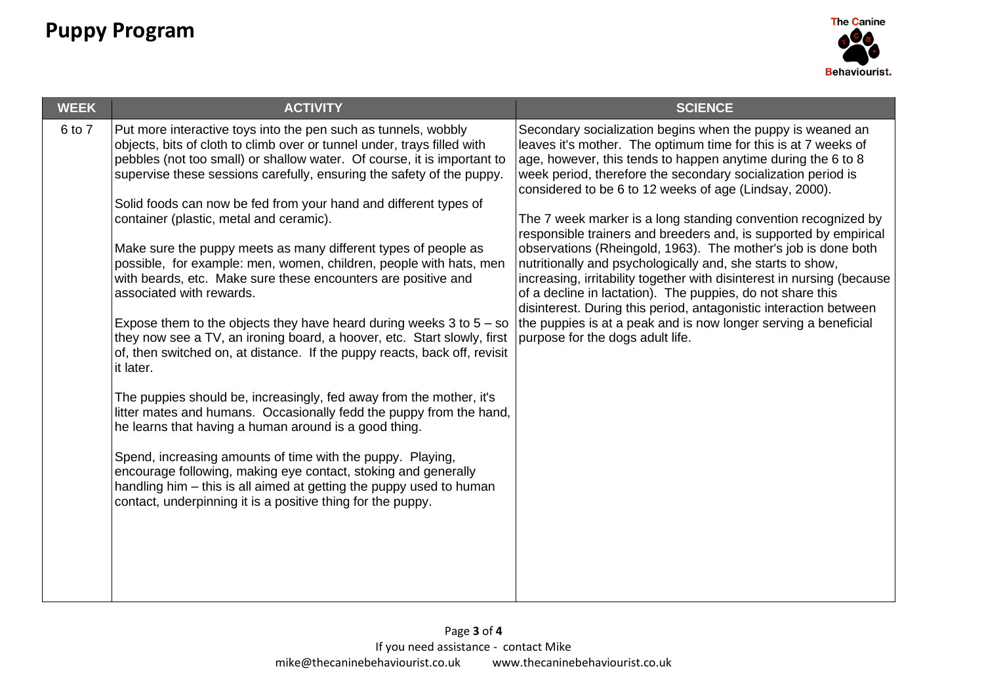

| <b>WEEK</b> | <b>ACTIVITY</b>                                                                                                                                                                                                                                                                                                                                                                                                                                                                                                                                                                                                                                                                                                                                                                                                                                                                                                                                                                                                                                                                                                                                                                                                                                                                                                                                                                | <b>SCIENCE</b>                                                                                                                                                                                                                                                                                                                                                                                                                                                                                                                                                                                                                                                                                                                                                                                                                                                                                                 |
|-------------|--------------------------------------------------------------------------------------------------------------------------------------------------------------------------------------------------------------------------------------------------------------------------------------------------------------------------------------------------------------------------------------------------------------------------------------------------------------------------------------------------------------------------------------------------------------------------------------------------------------------------------------------------------------------------------------------------------------------------------------------------------------------------------------------------------------------------------------------------------------------------------------------------------------------------------------------------------------------------------------------------------------------------------------------------------------------------------------------------------------------------------------------------------------------------------------------------------------------------------------------------------------------------------------------------------------------------------------------------------------------------------|----------------------------------------------------------------------------------------------------------------------------------------------------------------------------------------------------------------------------------------------------------------------------------------------------------------------------------------------------------------------------------------------------------------------------------------------------------------------------------------------------------------------------------------------------------------------------------------------------------------------------------------------------------------------------------------------------------------------------------------------------------------------------------------------------------------------------------------------------------------------------------------------------------------|
| 6 to 7      | Put more interactive toys into the pen such as tunnels, wobbly<br>objects, bits of cloth to climb over or tunnel under, trays filled with<br>pebbles (not too small) or shallow water. Of course, it is important to<br>supervise these sessions carefully, ensuring the safety of the puppy.<br>Solid foods can now be fed from your hand and different types of<br>container (plastic, metal and ceramic).<br>Make sure the puppy meets as many different types of people as<br>possible, for example: men, women, children, people with hats, men<br>with beards, etc. Make sure these encounters are positive and<br>associated with rewards.<br>Expose them to the objects they have heard during weeks $3$ to $5 -$ so<br>they now see a TV, an ironing board, a hoover, etc. Start slowly, first<br>of, then switched on, at distance. If the puppy reacts, back off, revisit<br>it later.<br>The puppies should be, increasingly, fed away from the mother, it's<br>litter mates and humans. Occasionally fedd the puppy from the hand,<br>he learns that having a human around is a good thing.<br>Spend, increasing amounts of time with the puppy. Playing,<br>encourage following, making eye contact, stoking and generally<br>handling him – this is all aimed at getting the puppy used to human<br>contact, underpinning it is a positive thing for the puppy. | Secondary socialization begins when the puppy is weaned an<br>leaves it's mother. The optimum time for this is at 7 weeks of<br>age, however, this tends to happen anytime during the 6 to 8<br>week period, therefore the secondary socialization period is<br>considered to be 6 to 12 weeks of age (Lindsay, 2000).<br>The 7 week marker is a long standing convention recognized by<br>responsible trainers and breeders and, is supported by empirical<br>observations (Rheingold, 1963). The mother's job is done both<br>nutritionally and psychologically and, she starts to show,<br>increasing, irritability together with disinterest in nursing (because<br>of a decline in lactation). The puppies, do not share this<br>disinterest. During this period, antagonistic interaction between<br>the puppies is at a peak and is now longer serving a beneficial<br>purpose for the dogs adult life. |